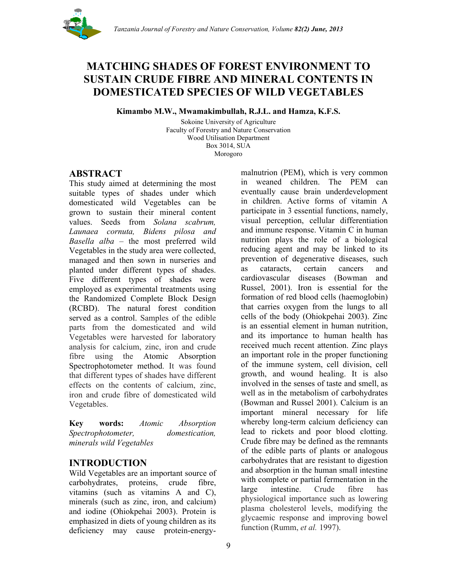

# **MATCHING SHADES OF FOREST ENVIRONMENT TO SUSTAIN CRUDE FIBRE AND MINERAL CONTENTS IN DOMESTICATED SPECIES OF WILD VEGETABLES**

**Kimambo M.W., Mwamakimbullah, R.J.L. and Hamza, K.F.S.**

Sokoine University of Agriculture Faculty of Forestry and Nature Conservation Wood Utilisation Department Box 3014, SUA Morogoro

# **ABSTRACT**

This study aimed at determining the most suitable types of shades under which domesticated wild Vegetables can be grown to sustain their mineral content values. Seeds from *Solana scabrum, Launaea cornuta, Bidens pilosa and Basella alba –* the most preferred wild Vegetables in the study area were collected, managed and then sown in nurseries and planted under different types of shades. Five different types of shades were employed as experimental treatments using the Randomized Complete Block Design (RCBD). The natural forest condition served as a control. Samples of the edible parts from the domesticated and wild Vegetables were harvested for laboratory analysis for calcium, zinc, iron and crude fibre using the Atomic Absorption Spectrophotometer method. It was found that different types of shades have different effects on the contents of calcium, zinc, iron and crude fibre of domesticated wild Vegetables.

**Key words:** *Atomic Absorption Spectrophotometer, domestication, minerals wild Vegetables*

# **INTRODUCTION**

Wild Vegetables are an important source of carbohydrates, proteins, crude fibre, vitamins (such as vitamins A and C), minerals (such as zinc, iron, and calcium) and iodine (Ohiokpehai 2003). Protein is emphasized in diets of young children as its deficiency may cause protein-energymalnutrion (PEM), which is very common in weaned children. The PEM can eventually cause brain underdevelopment in children. Active forms of vitamin A participate in 3 essential functions, namely, visual perception, cellular differentiation and immune response. Vitamin C in human nutrition plays the role of a biological reducing agent and may be linked to its prevention of degenerative diseases, such as cataracts, certain cancers and cardiovascular diseases (Bowman and Russel, 2001). Iron is essential for the formation of red blood cells (haemoglobin) that carries oxygen from the lungs to all cells of the body (Ohiokpehai 2003). Zinc is an essential element in human nutrition, and its importance to human health has received much recent attention. Zinc plays an important role in the proper functioning of the immune system, cell division, cell growth, and wound healing. It is also involved in the senses of taste and smell, as well as in the metabolism of carbohydrates (Bowman and Russel 2001). Calcium is an important mineral necessary for life whereby long-term calcium deficiency can lead to rickets and poor blood clotting. Crude fibre may be defined as the remnants of the edible parts of plants or analogous carbohydrates that are resistant to digestion and absorption in the human small intestine with complete or partial fermentation in the large intestine. Crude fibre has physiological importance such as lowering plasma cholesterol levels, modifying the glycaemic response and improving bowel function (Rumm, *et al.* 1997).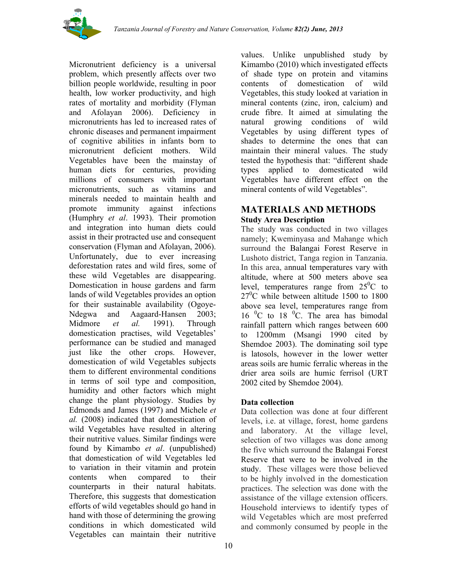

Micronutrient deficiency is a universal problem, which presently affects over two billion people worldwide, resulting in poor health, low worker productivity, and high rates of mortality and morbidity (Flyman and Afolayan 2006). Deficiency in micronutrients has led to increased rates of chronic diseases and permanent impairment of cognitive abilities in infants born to micronutrient deficient mothers. Wild Vegetables have been the mainstay of human diets for centuries, providing millions of consumers with important micronutrients, such as vitamins and minerals needed to maintain health and promote immunity against infections (Humphry *et al*. 1993). Their promotion and integration into human diets could assist in their protracted use and consequent conservation (Flyman and Afolayan, 2006). Unfortunately, due to ever increasing deforestation rates and wild fires, some of these wild Vegetables are disappearing. Domestication in house gardens and farm lands of wild Vegetables provides an option for their sustainable availability (Ogoye-Ndegwa and Aagaard-Hansen 2003; Midmore *et al.* 1991). Through domestication practises, wild Vegetables' performance can be studied and managed just like the other crops. However, domestication of wild Vegetables subjects them to different environmental conditions in terms of soil type and composition, humidity and other factors which might change the plant physiology. Studies by Edmonds and James (1997) and Michele *et al.* (2008) indicated that domestication of wild Vegetables have resulted in altering their nutritive values. Similar findings were found by Kimambo *et al*. (unpublished) that domestication of wild Vegetables led to variation in their vitamin and protein contents when compared to their counterparts in their natural habitats. Therefore, this suggests that domestication efforts of wild vegetables should go hand in hand with those of determining the growing conditions in which domesticated wild Vegetables can maintain their nutritive

values. Unlike unpublished study by Kimambo (2010) which investigated effects of shade type on protein and vitamins contents of domestication of wild Vegetables, this study looked at variation in mineral contents (zinc, iron, calcium) and crude fibre. It aimed at simulating the natural growing conditions of wild Vegetables by using different types of shades to determine the ones that can maintain their mineral values. The study tested the hypothesis that: "different shade types applied to domesticated wild Vegetables have different effect on the mineral contents of wild Vegetables".

# **MATERIALS AND METHODS Study Area Description**

The study was conducted in two villages namely; Kweminyasa and Mahange which surround the Balangai Forest Reserve in Lushoto district, Tanga region in Tanzania. In this area, annual temperatures vary with altitude, where at 500 meters above sea level, temperatures range from  $25^{\circ}$ C to  $27^{\circ}$ C while between altitude 1500 to 1800 above sea level, temperatures range from 16 <sup>0</sup>C to 18 <sup>0</sup>C. The area has bimodal rainfall pattern which ranges between 600 to 1200mm (Msangi 1990 cited by Shemdoe 2003). The dominating soil type is latosols, however in the lower wetter areas soils are humic ferralic whereas in the drier area soils are humic ferrisol (URT 2002 cited by Shemdoe 2004).

# **Data collection**

Data collection was done at four different levels, i.e. at village, forest, home gardens and laboratory. At the village level, selection of two villages was done among the five which surround the Balangai Forest Reserve that were to be involved in the study. These villages were those believed to be highly involved in the domestication practices. The selection was done with the assistance of the village extension officers. Household interviews to identify types of wild Vegetables which are most preferred and commonly consumed by people in the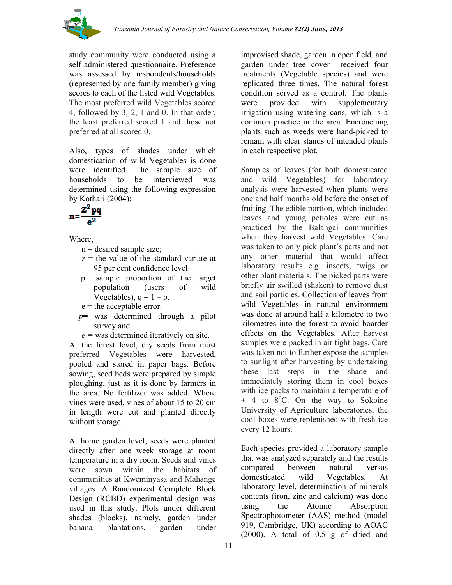

study community were conducted using a self administered questionnaire. Preference was assessed by respondents/households (represented by one family member) giving scores to each of the listed wild Vegetables. The most preferred wild Vegetables scored 4, followed by 3, 2, 1 and 0. In that order, the least preferred scored 1 and those not preferred at all scored 0.

Also, types of shades under which domestication of wild Vegetables is done were identified. The sample size of households to be interviewed was determined using the following expression by Kothari (2004):

$$
n = \frac{Z^2 pq}{e^2}
$$

Where,

- $n =$  desired sample size;
- $z =$  the value of the standard variate at 95 per cent confidence level
- p= sample proportion of the target population (users of wild Vegetables),  $q = 1 - p$ .
- $e$  = the acceptable error.
- *p***=** was determined through a pilot survey and
- *e =* was determined iteratively on site.

At the forest level, dry seeds from most preferred Vegetables were harvested, pooled and stored in paper bags. Before sowing, seed beds were prepared by simple ploughing, just as it is done by farmers in the area. No fertilizer was added. Where vines were used, vines of about 15 to 20 cm in length were cut and planted directly without storage.

At home garden level, seeds were planted directly after one week storage at room temperature in a dry room. Seeds and vines were sown within the habitats of communities at Kweminyasa and Mahange villages. A Randomized Complete Block Design (RCBD) experimental design was used in this study. Plots under different shades (blocks), namely, garden under banana plantations, garden under

improvised shade, garden in open field, and garden under tree cover received four treatments (Vegetable species) and were replicated three times. The natural forest condition served as a control. The plants were provided with supplementary irrigation using watering cans, which is a common practice in the area. Encroaching plants such as weeds were hand-picked to remain with clear stands of intended plants in each respective plot.

Samples of leaves (for both domesticated and wild Vegetables) for laboratory analysis were harvested when plants were one and half months old before the onset of fruiting. The edible portion, which included leaves and young petioles were cut as practiced by the Balangai communities when they harvest wild Vegetables. Care was taken to only pick plant's parts and not any other material that would affect laboratory results e.g. insects, twigs or other plant materials. The picked parts were briefly air swilled (shaken) to remove dust and soil particles. Collection of leaves from wild Vegetables in natural environment was done at around half a kilometre to two kilometres into the forest to avoid boarder effects on the Vegetables. After harvest samples were packed in air tight bags. Care was taken not to further expose the samples to sunlight after harvesting by undertaking these last steps in the shade and immediately storing them in cool boxes with ice packs to maintain a temperature of  $+$  4 to  $8^{\circ}$ C. On the way to Sokoine University of Agriculture laboratories, the cool boxes were replenished with fresh ice every 12 hours.

Each species provided a laboratory sample that was analyzed separately and the results compared between natural versus domesticated wild Vegetables. At laboratory level, determination of minerals contents (iron, zinc and calcium) was done using the Atomic Absorption Spectrophotometer (AAS) method (model 919, Cambridge, UK) according to AOAC (2000). A total of 0.5 g of dried and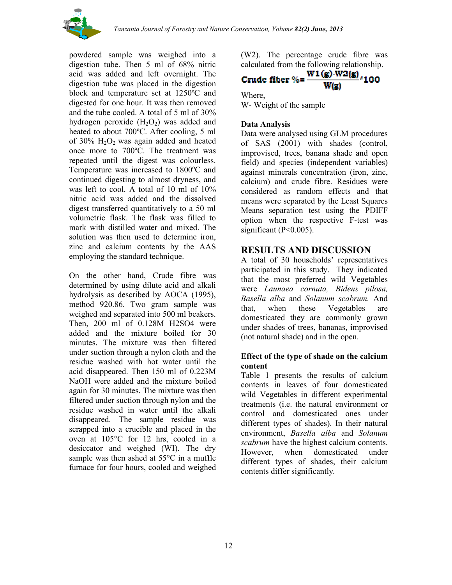

powdered sample was weighed into a digestion tube. Then 5 ml of 68% nitric acid was added and left overnight. The digestion tube was placed in the digestion block and temperature set at 1250ºC and digested for one hour. It was then removed and the tube cooled. A total of 5 ml of 30% hydrogen peroxide  $(H_2O_2)$  was added and heated to about 700ºC. After cooling, 5 ml of 30%  $H_2O_2$  was again added and heated once more to 700ºC. The treatment was repeated until the digest was colourless. Temperature was increased to 1800ºC and continued digesting to almost dryness, and was left to cool. A total of 10 ml of 10% nitric acid was added and the dissolved digest transferred quantitatively to a 50 ml volumetric flask. The flask was filled to mark with distilled water and mixed. The solution was then used to determine iron, zinc and calcium contents by the AAS employing the standard technique.

On the other hand, Crude fibre was determined by using dilute acid and alkali hydrolysis as described by AOCA (1995), method 920.86. Two gram sample was weighed and separated into 500 ml beakers. Then, 200 ml of 0.128M H2SO4 were added and the mixture boiled for 30 minutes. The mixture was then filtered under suction through a nylon cloth and the residue washed with hot water until the acid disappeared. Then 150 ml of 0.223M NaOH were added and the mixture boiled again for 30 minutes. The mixture was then filtered under suction through nylon and the residue washed in water until the alkali disappeared. The sample residue was scrapped into a crucible and placed in the oven at 105°C for 12 hrs, cooled in a desiccator and weighed (WI). The dry sample was then ashed at 55°C in a muffle furnace for four hours, cooled and weighed

(W2). The percentage crude fibre was

# calculated from the following relationship.<br>Crude fiber %=  $\frac{W1(g)-W2(g)}{277}$  \*100

Where, W- Weight of the sample

### **Data Analysis**

Data were analysed using GLM procedures of SAS (2001) with shades (control, improvised, trees, banana shade and open field) and species (independent variables) against minerals concentration (iron, zinc, calcium) and crude fibre. Residues were considered as random effects and that means were separated by the Least Squares Means separation test using the PDIFF option when the respective F-test was significant ( $P<0.005$ ).

# **RESULTS AND DISCUSSION**

A total of 30 households' representatives participated in this study. They indicated that the most preferred wild Vegetables were *Launaea cornuta, Bidens pilosa, Basella alba* and *Solanum scabrum.* And that, when these Vegetables are domesticated they are commonly grown under shades of trees, bananas, improvised (not natural shade) and in the open.

#### **Effect of the type of shade on the calcium content**

Table 1 presents the results of calcium contents in leaves of four domesticated wild Vegetables in different experimental treatments (i.e. the natural environment or control and domesticated ones under different types of shades). In their natural environment, *Basella alba* and *Solanum scabrum* have the highest calcium contents. However, when domesticated under different types of shades, their calcium contents differ significantly*.*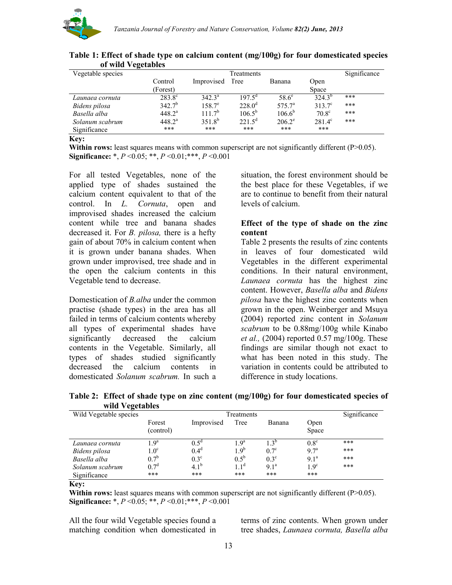

| Significance |
|--------------|
|              |
|              |
|              |
|              |
|              |
|              |
|              |
|              |

**Table 1: Effect of shade type on calcium content (mg/100g) for four domesticated species of wild Vegetables**

**Key:**

**Within rows:** least squares means with common superscript are not significantly different (P>0.05). **Significance:** \*, *P* <0.05; \*\*, *P* <0.01;\*\*\*, *P* <0.001

For all tested Vegetables, none of the applied type of shades sustained the calcium content equivalent to that of the control. In *L. Cornuta*, open and improvised shades increased the calcium content while tree and banana shades decreased it. For *B. pilosa,* there is a hefty gain of about 70% in calcium content when it is grown under banana shades. When grown under improvised, tree shade and in the open the calcium contents in this Vegetable tend to decrease.

Domestication of *B.alba* under the common practise (shade types) in the area has all failed in terms of calcium contents whereby all types of experimental shades have significantly decreased the calcium contents in the Vegetable. Similarly, all types of shades studied significantly decreased the calcium contents in domesticated *Solanum scabrum.* In such a

situation, the forest environment should be the best place for these Vegetables, if we are to continue to benefit from their natural levels of calcium.

#### **Effect of the type of shade on the zinc content**

Table 2 presents the results of zinc contents in leaves of four domesticated wild Vegetables in the different experimental conditions. In their natural environment, *Launaea cornuta* has the highest zinc content. However, *Basella alba* and *Bidens pilosa* have the highest zinc contents when grown in the open. Weinberger and Msuya (2004) reported zinc content in *Solanum scabrum* to be 0.88mg/100g while Kinabo *et al.,* (2004) reported 0.57 mg/100g. These findings are similar though not exact to what has been noted in this study. The variation in contents could be attributed to difference in study locations.

| WHU Y CECLADICS        |                     |                  |                  |               |                  |     |
|------------------------|---------------------|------------------|------------------|---------------|------------------|-----|
| Wild Vegetable species |                     | Treatments       |                  |               |                  |     |
|                        | Forest<br>(control) | Improvised       | Tree             | Banana        | Open<br>Space    |     |
| Launaea cornuta        | 1.9 <sup>a</sup>    | $0.5^{\circ}$    | 1.9 <sup>a</sup> | $1.3^{\circ}$ | $0.8^{\circ}$    | *** |
| Bidens pilosa          | 1.0 <sup>c</sup>    | 0.4 <sup>d</sup> | $1.9^{b}$        | $0.7^\circ$   | 9.7 <sup>a</sup> | *** |
| Basella alba           | 0.7 <sup>b</sup>    | $0.3^\circ$      | $0.5^{\rm b}$    | $0.3^\circ$   | $9.1^a$          | *** |
| Solanum scabrum        | $0.7^{\circ}$       | $4.1^{b}$        | $11^d$           | $9.1^a$       | 1.9 <sup>c</sup> | *** |
| Significance           | ***                 | ***              | ***              | ***           | ***              |     |

**Table 2: Effect of shade type on zinc content (mg/100g) for four domesticated species of wild Vegetables**

**Key:**

**Within rows:** least squares means with common superscript are not significantly different (P>0.05). **Significance:** \*, *P* <0.05; \*\*, *P* <0.01;\*\*\*, *P* <0.001

All the four wild Vegetable species found a matching condition when domesticated in terms of zinc contents. When grown under tree shades, *Launaea cornuta, Basella alba*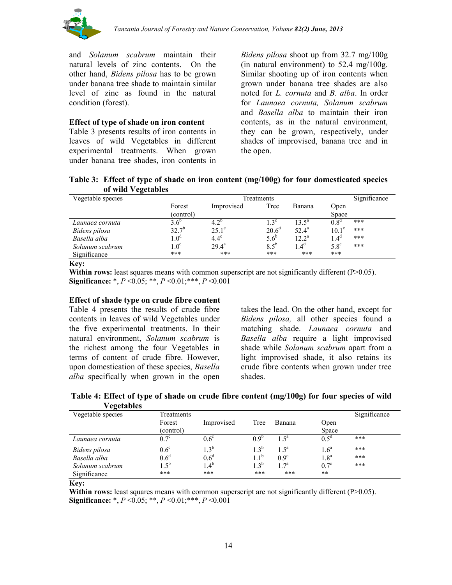

and *Solanum scabrum* maintain their natural levels of zinc contents. On the other hand, *Bidens pilosa* has to be grown under banana tree shade to maintain similar level of zinc as found in the natural condition (forest).

#### **Effect of type of shade on iron content**

Table 3 presents results of iron contents in leaves of wild Vegetables in different experimental treatments. When grown under banana tree shades, iron contents in

*Bidens pilosa* shoot up from 32.7 mg/100g (in natural environment) to 52.4 mg/100g. Similar shooting up of iron contents when grown under banana tree shades are also noted for *L. cornuta* and *B. alba*. In order for *Launaea cornuta, Solanum scabrum*  and *Basella alba* to maintain their iron contents, as in the natural environment, they can be grown, respectively, under shades of improvised, banana tree and in the open.

**Table 3: Effect of type of shade on iron content (mg/100g) for four domesticated species of wild Vegetables**

| $\sigma$ when $\sigma$ extended |                  |                |                   |                |                  |     |
|---------------------------------|------------------|----------------|-------------------|----------------|------------------|-----|
| Vegetable species               |                  | Significance   |                   |                |                  |     |
|                                 | Forest           | Improvised     | Tree              | Banana         | Open             |     |
|                                 | (control)        |                |                   |                | Space            |     |
| Launaea cornuta                 | $3.6^{\circ}$    | $4.2^{\circ}$  | $1.3^\circ$       | $13.5^{\circ}$ | 0.8 <sup>a</sup> | *** |
| Bidens pilosa                   | $32.7^{b}$       | $25.1^\circ$   | 20.6 <sup>d</sup> | $52.4^{\circ}$ | $10.1^\circ$     | *** |
| Basella alba                    | 1.0 <sup>d</sup> | $4.4^\circ$    | $5.6^{b}$         | $12.2^{\rm a}$ | 1.4 <sup>d</sup> | *** |
| Solanum scabrum                 | 1.0 <sup>d</sup> | $29.4^{\rm a}$ | $8.5^{\circ}$     | 4 <sup>d</sup> | $5.8^\circ$      | *** |
| Significance                    | ***              | ***            | ***               | ***            | ***              |     |
| $\mathbf{r}$                    |                  |                |                   |                |                  |     |

**Key:**

**Within rows:** least squares means with common superscript are not significantly different (P>0.05). **Significance:** \*, *P* <0.05; \*\*, *P* <0.01;\*\*\*, *P* <0.001

#### **Effect of shade type on crude fibre content**

Table 4 presents the results of crude fibre contents in leaves of wild Vegetables under the five experimental treatments. In their natural environment, *Solanum scabrum* is the richest among the four Vegetables in terms of content of crude fibre. However, upon domestication of these species, *Basella alba* specifically when grown in the open

takes the lead. On the other hand, except for *Bidens pilosa,* all other species found a matching shade. *Launaea cornuta* and *Basella alba* require a light improvised shade while *Solanum scabrum* apart from a light improvised shade, it also retains its crude fibre contents when grown under tree shades.

**Table 4: Effect of type of shade on crude fibre content (mg/100g) for four species of wild Vegetables**

| $\cdot$ - $\blacksquare$ |                  |                  |                  |                  |                  |              |
|--------------------------|------------------|------------------|------------------|------------------|------------------|--------------|
| Vegetable species        | Treatments       |                  |                  |                  |                  | Significance |
|                          | Forest           | Improvised       | Tree             | Banana           | Open             |              |
|                          | (control)        |                  |                  |                  | Space            |              |
| Launaea cornuta          | $0.7^{\circ}$    | $0.6^\circ$      | 0.9 <sup>t</sup> | $1.5^{\circ}$    | $0.5^{\circ}$    | ***          |
| Bidens pilosa            | $0.6^{\circ}$    | $1.3^b$          | 1.3 <sup>b</sup> | 1.5 <sup>a</sup> | 1.6 <sup>a</sup> | ***          |
| Basella alba             | 0.6 <sup>d</sup> | 0.6 <sup>d</sup> | $11^b$           | $0.9^\circ$      | 1.8 <sup>a</sup> | ***          |
| Solanum scabrum          | $1.5^{\rm b}$    | $1.4^{b}$        | $1.3^{b}$        | 1.7 <sup>a</sup> | $0.7^\circ$      | ***          |
| Significance             | ***              | ***              | ***              | ***              | **               |              |
|                          |                  |                  |                  |                  |                  |              |

**Key:**

**Within rows:** least squares means with common superscript are not significantly different (P>0.05). **Significance:** \*, *P* <0.05; \*\*, *P* <0.01;\*\*\*, *P* <0.001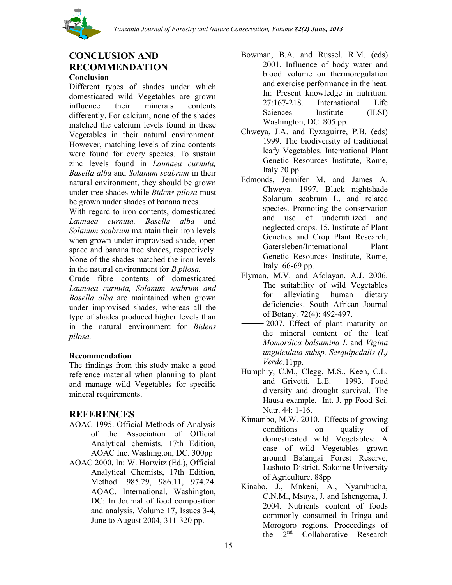

# **CONCLUSION AND RECOMMENDATION**

#### **Conclusion**

Different types of shades under which domesticated wild Vegetables are grown influence their minerals contents differently. For calcium, none of the shades matched the calcium levels found in these Vegetables in their natural environment. However, matching levels of zinc contents were found for every species. To sustain zinc levels found in *Launaea curnuta, Basella alba* and *Solanum scabrum* in their natural environment, they should be grown under tree shades while *Bidens pilosa* must be grown under shades of banana trees*.* 

With regard to iron contents, domesticated *Launaea curnuta, Basella alba* and *Solanum scabrum* maintain their iron levels when grown under improvised shade, open space and banana tree shades, respectively. None of the shades matched the iron levels in the natural environment for *B.pilosa.*

Crude fibre contents of domesticated *Launaea curnuta, Solanum scabrum and Basella alba* are maintained when grown under improvised shades, whereas all the type of shades produced higher levels than in the natural environment for *Bidens pilosa.*

#### **Recommendation**

The findings from this study make a good reference material when planning to plant and manage wild Vegetables for specific mineral requirements.

# **REFERENCES**

- AOAC 1995. Official Methods of Analysis of the Association of Official Analytical chemists. 17th Edition, AOAC Inc. Washington, DC. 300pp
- AOAC 2000. In: W. Horwitz (Ed.), Official Analytical Chemists, 17th Edition, Method: 985.29, 986.11, 974.24. AOAC. International, Washington, DC: In Journal of food composition and analysis, Volume 17, Issues 3-4, June to August 2004, 311-320 pp.
- Bowman, B.A. and Russel, R.M. (eds) 2001. Influence of body water and blood volume on thermoregulation and exercise performance in the heat. In: Present knowledge in nutrition. 27:167-218. International Life Sciences Institute (ILSI) Washington, DC. 805 pp.
- Chweya, J.A. and Eyzaguirre, P.B. (eds) 1999. The biodiversity of traditional leafy Vegetables. International Plant Genetic Resources Institute, Rome, Italy 20 pp.
- Edmonds, Jennifer M. and James A. Chweya. 1997. Black nightshade Solanum scabrum L. and related species. Promoting the conservation and use of underutilized and neglected crops. 15. Institute of Plant Genetics and Crop Plant Research, Gatersleben/International Plant Genetic Resources Institute, Rome, Italy. 66-69 pp.
- Flyman, M.V. and Afolayan, A.J. 2006. The suitability of wild Vegetables for alleviating human dietary deficiencies. South African Journal of Botany. 72(4): 492-497.
- 2007. Effect of plant maturity on the mineral content of the leaf *Momordica balsamina L* and *Vigina unguiculata subsp. Sesquipedalis (L) Verdc*.11pp.
- Humphry, C.M., Clegg, M.S., Keen, C.L. and Grivetti, L.E. 1993. Food diversity and drought survival. The Hausa example. -Int. J. pp Food Sci. Nutr. 44: 1-16.
- Kimambo, M.W. 2010. Effects of growing conditions on quality of domesticated wild Vegetables: A case of wild Vegetables grown around Balangai Forest Reserve, Lushoto District. Sokoine University of Agriculture. 88pp
- Kinabo, J., Mnkeni, A., Nyaruhucha, C.N.M., Msuya, J. and Ishengoma, J. 2004. Nutrients content of foods commonly consumed in Iringa and Morogoro regions. Proceedings of the  $\sum_{n=1}^{\infty}$  Collaborative Research